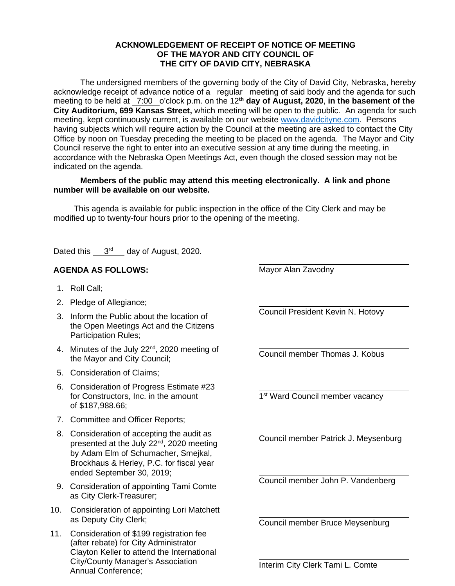## **ACKNOWLEDGEMENT OF RECEIPT OF NOTICE OF MEETING OF THE MAYOR AND CITY COUNCIL OF THE CITY OF DAVID CITY, NEBRASKA**

The undersigned members of the governing body of the City of David City, Nebraska, hereby acknowledge receipt of advance notice of a regular meeting of said body and the agenda for such meeting to be held at 7:00 o'clock p.m. on the 12**th day of August, 2020**, **in the basement of the City Auditorium, 699 Kansas Street,** which meeting will be open to the public. An agenda for such meeting, kept continuously current, is available on our websit[e www.davidcityne.com.](https://urldefense.proofpoint.com/v2/url?u=http-3A__www.davidcityne.com&d=DwMFAg&c=UCja3IwhyjPGYeHcG7oIbg&r=sTF4AptKcZUvAdPZH__AgXD7wYT5PTsm1dL8p3vwYO4&m=H_1JksRqSJf69XA0HV8uDjtaNsM1PhWMo-DkTNHrSaE&s=wLyFni_YrhiWLHduEQzSflZL77e5AtnnCpVJ-weajcE&e=) Persons having subjects which will require action by the Council at the meeting are asked to contact the City Office by noon on Tuesday preceding the meeting to be placed on the agenda. The Mayor and City Council reserve the right to enter into an executive session at any time during the meeting, in accordance with the Nebraska Open Meetings Act, even though the closed session may not be indicated on the agenda.

## **Members of the public may attend this meeting electronically. A link and phone number will be available on our website.**

This agenda is available for public inspection in the office of the City Clerk and may be modified up to twenty-four hours prior to the opening of the meeting.

Dated this 3<sup>rd</sup> day of August, 2020.

## **AGENDA AS FOLLOWS:**

- 1. Roll Call;
- 2. Pledge of Allegiance;
- 3. Inform the Public about the location of the Open Meetings Act and the Citizens Participation Rules;
- 4. Minutes of the July 22<sup>nd</sup>, 2020 meeting of the Mayor and City Council;
- 5. Consideration of Claims;
- 6. Consideration of Progress Estimate #23 for Constructors, Inc. in the amount of \$187,988.66;
- 7. Committee and Officer Reports;
- 8. Consideration of accepting the audit as presented at the July 22<sup>nd</sup>, 2020 meeting by Adam Elm of Schumacher, Smejkal, Brockhaus & Herley, P.C. for fiscal year ended September 30, 2019;
- 9. Consideration of appointing Tami Comte as City Clerk-Treasurer;
- 10. Consideration of appointing Lori Matchett as Deputy City Clerk;
- 11. Consideration of \$199 registration fee (after rebate) for City Administrator Clayton Keller to attend the International City/County Manager's Association Annual Conference;

Mayor Alan Zavodny

 $\overline{a}$ 

 $\overline{a}$ 

 $\overline{a}$ 

 $\overline{a}$ 

 $\overline{a}$ 

 $\overline{a}$ 

 $\overline{a}$ 

Council President Kevin N. Hotovy

 $\overline{a}$ Council member Thomas J. Kobus

1<sup>st</sup> Ward Council member vacancy

Council member Patrick J. Meysenburg

Council member John P. Vandenberg

Council member Bruce Meysenburg

Interim City Clerk Tami L. Comte